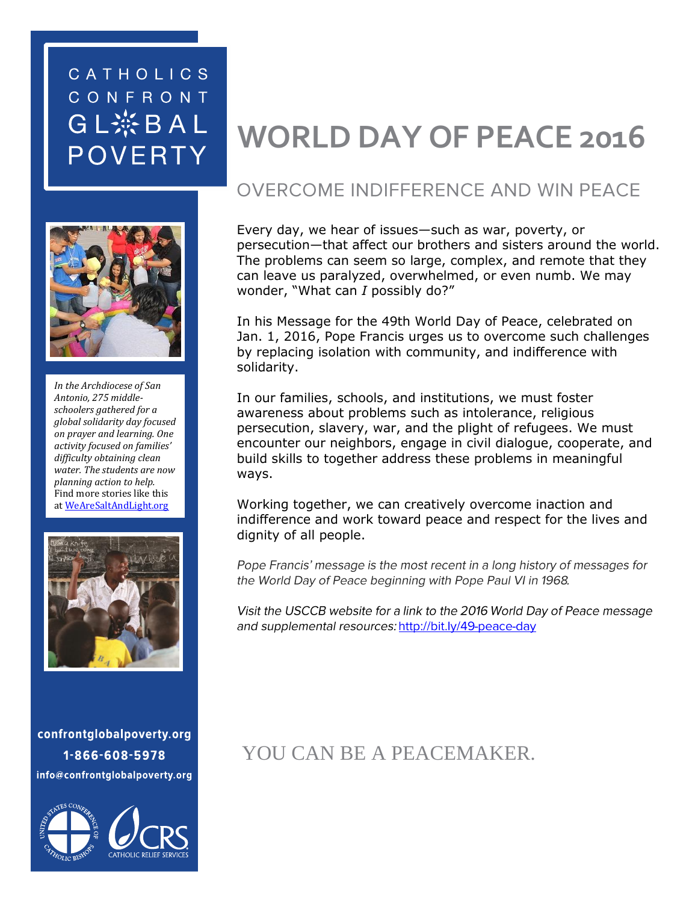## CATHOLICS CONFRONT GL※BAL **POVERTY**



*In the Archdiocese of San Antonio, 275 middleschoolers gathered for a global solidarity day focused on prayer and learning. One activity focused on families' difficulty obtaining clean water. The students are now planning action to help.* Find more stories like this a[t WeAreSaltAndLight.org](http://www.wearesaltandlight.org/)



confrontglobalpoverty.org 1-866-608-5978 info@confrontglobalpoverty.org



# **WORLD DAY OF PEACE 2016**

#### **OVERCOME INDIFFERENCE AND WIN PEACE**

Every day, we hear of issues—such as war, poverty, or persecution—that affect our brothers and sisters around the world. The problems can seem so large, complex, and remote that they can leave us paralyzed, overwhelmed, or even numb. We may wonder, "What can *I* possibly do?"

In his Message for the 49th World Day of Peace, celebrated on Jan. 1, 2016, Pope Francis urges us to overcome such challenges by replacing isolation with community, and indifference with solidarity.

In our families, schools, and institutions, we must foster awareness about problems such as intolerance, religious persecution, slavery, war, and the plight of refugees. We must encounter our neighbors, engage in civil dialogue, cooperate, and build skills to together address these problems in meaningful ways.

Working together, we can creatively overcome inaction and indifference and work toward peace and respect for the lives and dignity of all people.

Pope Francis' message is the most recent in a long history of messages for the World Day of Peace beginning with Pope Paul VI in 1968.

Visit the USCCB website for a link to the 2016 World Day of Peace message and supplemental resources: http://bit.ly/49-peace-day

YOU CAN BE A PEACEMAKER.